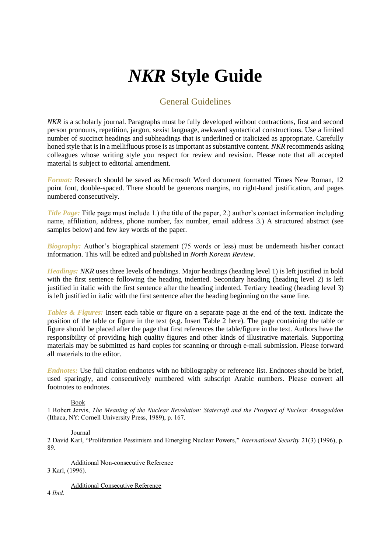# *NKR* **Style Guide**

## General Guidelines

*NKR* is a scholarly journal. Paragraphs must be fully developed without contractions, first and second person pronouns, repetition, jargon, sexist language, awkward syntactical constructions. Use a limited number of succinct headings and subheadings that is underlined or italicized as appropriate. Carefully honed style that is in a mellifluous prose is as important as substantive content. *NKR* recommends asking colleagues whose writing style you respect for review and revision. Please note that all accepted material is subject to editorial amendment.

*Format:* Research should be saved as Microsoft Word document formatted Times New Roman, 12 point font, double-spaced. There should be generous margins, no right-hand justification, and pages numbered consecutively.

*Title Page:* Title page must include 1.) the title of the paper, 2.) author's contact information including name, affiliation, address, phone number, fax number, email address 3.) A structured abstract (see samples below) and few key words of the paper.

*Biography:* Author's biographical statement (75 words or less) must be underneath his/her contact information. This will be edited and published in *North Korean Review*.

*Headings: NKR* uses three levels of headings. Major headings (heading level 1) is left justified in bold with the first sentence following the heading indented. Secondary heading (heading level 2) is left justified in italic with the first sentence after the heading indented. Tertiary heading (heading level 3) is left justified in italic with the first sentence after the heading beginning on the same line.

*Tables & Figures:* Insert each table or figure on a separate page at the end of the text. Indicate the position of the table or figure in the text (e.g. Insert Table 2 here). The page containing the table or figure should be placed after the page that first references the table/figure in the text. Authors have the responsibility of providing high quality figures and other kinds of illustrative materials. Supporting materials may be submitted as hard copies for scanning or through e-mail submission. Please forward all materials to the editor.

*Endnotes:* Use full citation endnotes with no bibliography or reference list. Endnotes should be brief, used sparingly, and consecutively numbered with subscript Arabic numbers. Please convert all footnotes to endnotes.

#### Book

1 Robert Jervis, *The Meaning of the Nuclear Revolution: Statecraft and the Prospect of Nuclear Armageddon* (Ithaca, NY: Cornell University Press, 1989), p. 167.

#### Journal

2 David Karl, "Proliferation Pessimism and Emerging Nuclear Powers," *International Security* 21(3) (1996), p. 89.

Additional Non-consecutive Reference 3 Karl, (1996).

Additional Consecutive Reference

4 *Ibid*.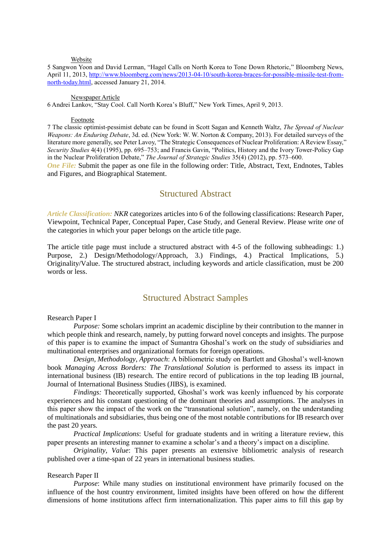#### Website

5 Sangwon Yoon and David Lerman, "Hagel Calls on North Korea to Tone Down Rhetoric," Bloomberg News, April 11, 2013, [http://www.bloomberg.com/news/2013-04-10/south-korea-braces-for-possible-missile-test-from](http://www.bloomberg.com/news/2013-04-10/south-korea-braces-for-possible-missile-test-from-north-today.html)[north-today.html,](http://www.bloomberg.com/news/2013-04-10/south-korea-braces-for-possible-missile-test-from-north-today.html) accessed January 21, 2014.

#### Newspaper Article

6 Andrei Lankov, "Stay Cool. Call North Korea's Bluff," New York Times, April 9, 2013.

#### Footnote

7 The classic optimist-pessimist debate can be found in Scott Sagan and Kenneth Waltz, *The Spread of Nuclear Weapons: An Enduring Debate*, 3d. ed. (New York: W. W. Norton & Company, 2013). For detailed surveys of the literature more generally, see Peter Lavoy, "The Strategic Consequences of Nuclear Proliferation: A Review Essay," *Security Studies* 4(4) (1995), pp. 695–753; and Francis Gavin, "Politics, History and the Ivory Tower-Policy Gap in the Nuclear Proliferation Debate," *The Journal of Strategic Studies* 35(4) (2012), pp. 573–600.

*One File:* Submit the paper as one file in the following order: Title, Abstract, Text, Endnotes, Tables and Figures, and Biographical Statement.

## Structured Abstract

*Article Classification: NKR* categorizes articles into 6 of the following classifications: Research Paper, Viewpoint, Technical Paper, Conceptual Paper, Case Study, and General Review. Please write *one* of the categories in which your paper belongs on the article title page.

The article title page must include a structured abstract with 4-5 of the following subheadings: 1.) Purpose, 2.) Design/Methodology/Approach, 3.) Findings, 4.) Practical Implications, 5.) Originality/Value. The structured abstract, including keywords and article classification, must be 200 words or less.

### Structured Abstract Samples

#### Research Paper I

*Purpose:* Some scholars imprint an academic discipline by their contribution to the manner in which people think and research, namely, by putting forward novel concepts and insights. The purpose of this paper is to examine the impact of Sumantra Ghoshal's work on the study of subsidiaries and multinational enterprises and organizational formats for foreign operations.

*Design, Methodology, Approach*: A bibliometric study on Bartlett and Ghoshal's well-known book *Managing Across Borders: The Translational Solution* is performed to assess its impact in international business (IB) research. The entire record of publications in the top leading IB journal, Journal of International Business Studies (JIBS), is examined.

*Findings:* Theoretically supported, Ghoshal's work was keenly influenced by his corporate experiences and his constant questioning of the dominant theories and assumptions. The analyses in this paper show the impact of the work on the "transnational solution", namely, on the understanding of multinationals and subsidiaries, thus being one of the most notable contributions for IB research over the past 20 years.

*Practical Implications*: Useful for graduate students and in writing a literature review, this paper presents an interesting manner to examine a scholar's and a theory's impact on a discipline.

*Originality, Value*: This paper presents an extensive bibliometric analysis of research published over a time-span of 22 years in international business studies.

#### Research Paper II

*Purpose*: While many studies on institutional environment have primarily focused on the influence of the host country environment, limited insights have been offered on how the different dimensions of home institutions affect firm internationalization. This paper aims to fill this gap by